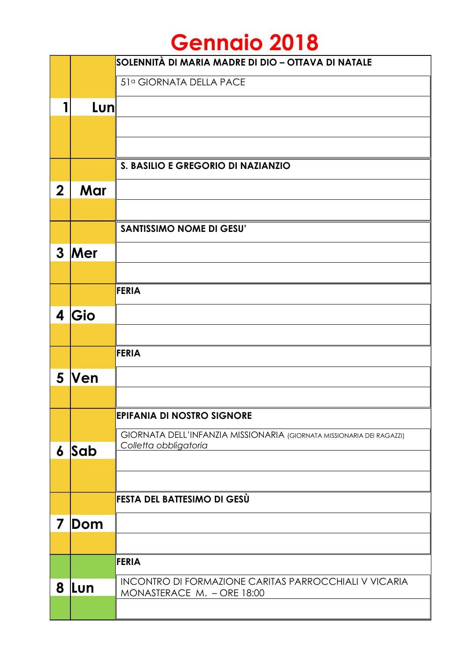## **Gennaio 2018**

|                  |            | SOLENNITÀ DI MARIA MADRE DI DIO – OTTAVA DI NATALE                                             |
|------------------|------------|------------------------------------------------------------------------------------------------|
|                  |            | 51ª GIORNATA DELLA PACE                                                                        |
| 1                | Lun        |                                                                                                |
|                  |            |                                                                                                |
|                  |            |                                                                                                |
|                  |            | S. BASILIO E GREGORIO DI NAZIANZIO                                                             |
| $\mathbf 2$      | Mar        |                                                                                                |
|                  |            |                                                                                                |
|                  |            | <b>SANTISSIMO NOME DI GESU'</b>                                                                |
| $\mathbf{3}$     | Mer        |                                                                                                |
|                  |            |                                                                                                |
|                  |            | <b>FERIA</b>                                                                                   |
| 4                | Gio        |                                                                                                |
|                  |            |                                                                                                |
|                  |            | FERIA                                                                                          |
| 5                | <b>Ven</b> |                                                                                                |
|                  |            |                                                                                                |
|                  |            | <b>EPIFANIA DI NOSTRO SIGNORE</b>                                                              |
| $\boldsymbol{6}$ | Sab        | GIORNATA DELL'INFANZIA MISSIONARIA (GIORNATA MISSIONARIA DEI RAGAZZI)<br>Colletta obbligatoria |
|                  |            |                                                                                                |
|                  |            |                                                                                                |
|                  |            | FESTA DEL BATTESIMO DI GESÙ                                                                    |
| 7                | Dom        |                                                                                                |
|                  |            |                                                                                                |
|                  |            | <b>FERIA</b>                                                                                   |
| 8                | Lun        | INCONTRO DI FORMAZIONE CARITAS PARROCCHIALI V VICARIA<br>MONASTERACE M. - ORE 18:00            |
|                  |            |                                                                                                |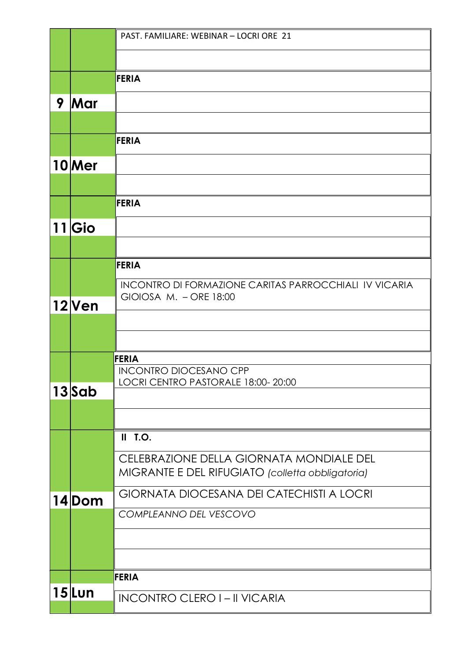|   |                   | PAST, FAMILIARE: WEBINAR - LOCRI ORE 21                                                      |
|---|-------------------|----------------------------------------------------------------------------------------------|
|   |                   |                                                                                              |
|   |                   | <b>FERIA</b>                                                                                 |
| 9 | Mar               |                                                                                              |
|   |                   |                                                                                              |
|   |                   | <b>FERIA</b>                                                                                 |
|   | 10 Mer            |                                                                                              |
|   |                   |                                                                                              |
|   |                   | FERIA                                                                                        |
|   | 11 Gio            |                                                                                              |
|   |                   |                                                                                              |
|   |                   | <b>FERIA</b>                                                                                 |
|   |                   | <b>INCONTRO DI FORMAZIONE CARITAS PARROCCHIALI IV VICARIA</b><br>GIOIOSA M. - ORE 18:00      |
|   | 12 <sub>Ven</sub> |                                                                                              |
|   |                   |                                                                                              |
|   |                   | <b>FERIA</b>                                                                                 |
|   |                   | <b>INCONTRO DIOCESANO CPP</b><br>LOCRI CENTRO PASTORALE 18:00-20:00                          |
|   | 13 Sab            |                                                                                              |
|   |                   |                                                                                              |
|   |                   | $II$ T.O.                                                                                    |
|   |                   | CELEBRAZIONE DELLA GIORNATA MONDIALE DEL<br>MIGRANTE E DEL RIFUGIATO (colletta obbligatoria) |
|   |                   | <b>GIORNATA DIOCESANA DEI CATECHISTI A LOCRI</b>                                             |
|   | 14Dom             | COMPLEANNO DEL VESCOVO                                                                       |
|   |                   |                                                                                              |
|   |                   |                                                                                              |
|   |                   | <b>FERIA</b>                                                                                 |
|   | $15$ Lun          |                                                                                              |
|   |                   | <b>INCONTRO CLERO I-II VICARIA</b>                                                           |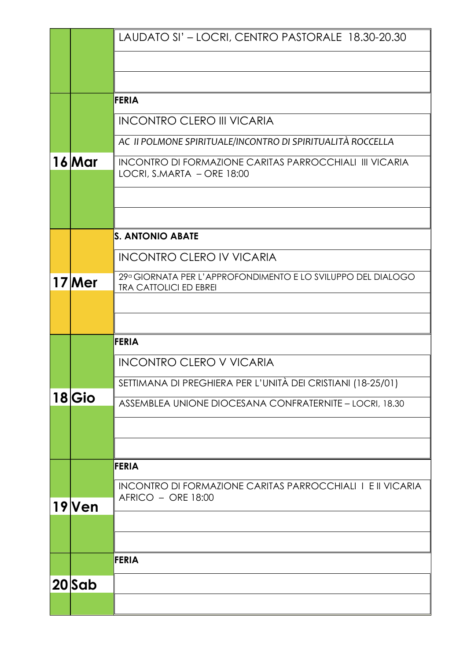|                   | LAUDATO SI' - LOCRI, CENTRO PASTORALE 18.30-20.30                                             |
|-------------------|-----------------------------------------------------------------------------------------------|
|                   |                                                                                               |
|                   |                                                                                               |
|                   | <b>FERIA</b>                                                                                  |
|                   | <b>INCONTRO CLERO III VICARIA</b>                                                             |
|                   | AC II POLMONE SPIRITUALE/INCONTRO DI SPIRITUALITÀ ROCCELLA                                    |
| <b>16 Mar</b>     | <b>INCONTRO DI FORMAZIONE CARITAS PARROCCHIALI III VICARIA</b><br>LOCRI, S.MARTA - ORE 18:00  |
|                   |                                                                                               |
|                   |                                                                                               |
|                   |                                                                                               |
|                   | <b>S. ANTONIO ABATE</b>                                                                       |
|                   | <b>INCONTRO CLERO IV VICARIA</b>                                                              |
| 17 Mer            | 29ª GIORNATA PER L'APPROFONDIMENTO E LO SVILUPPO DEL DIALOGO<br><b>TRA CATTOLICI ED EBREI</b> |
|                   |                                                                                               |
|                   |                                                                                               |
|                   | <b>FERIA</b>                                                                                  |
|                   | <b>INCONTRO CLERO V VICARIA</b>                                                               |
|                   | SETTIMANA DI PREGHIERA PER L'UNITÀ DEI CRISTIANI (18-25/01)                                   |
| 18 Gio            | ASSEMBLEA UNIONE DIOCESANA CONFRATERNITE - LOCRI, 18.30                                       |
|                   |                                                                                               |
|                   |                                                                                               |
|                   | <b>FERIA</b>                                                                                  |
|                   | <b>INCONTRO DI FORMAZIONE CARITAS PARROCCHIALI I E II VICARIA</b><br>AFRICO - ORE 18:00       |
| 19 <sub>Ven</sub> |                                                                                               |
|                   |                                                                                               |
|                   | <b>FERIA</b>                                                                                  |
|                   |                                                                                               |
| $20$ Sab          |                                                                                               |
|                   |                                                                                               |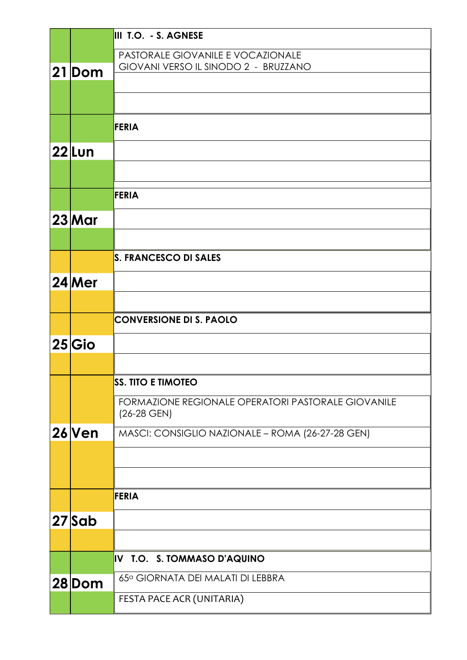|           | III T.O. - S. AGNESE                               |
|-----------|----------------------------------------------------|
|           | PASTORALE GIOVANILE E VOCAZIONALE                  |
| 21 Dom    | GIOVANI VERSO IL SINODO 2 - BRUZZANO               |
|           |                                                    |
|           |                                                    |
|           | FERIA                                              |
| 22 Lun    |                                                    |
|           |                                                    |
|           | FERIA                                              |
|           |                                                    |
| 23 Mar    |                                                    |
|           |                                                    |
|           | S. FRANCESCO DI SALES                              |
| 24 Mer    |                                                    |
|           |                                                    |
|           | <b>CONVERSIONE DI S. PAOLO</b>                     |
| $25 G$ io |                                                    |
|           |                                                    |
|           | <b>SS. TITO E TIMOTEO</b>                          |
|           | FORMAZIONE REGIONALE OPERATORI PASTORALE GIOVANILE |
|           | $(26-28$ GEN)                                      |
| $26$ Ven  | MASCI: CONSIGLIO NAZIONALE - ROMA (26-27-28 GEN)   |
|           |                                                    |
|           |                                                    |
|           | <b>FERIA</b>                                       |
|           |                                                    |
| 27 Sab    |                                                    |
|           |                                                    |
|           | IV T.O. S. TOMMASO D'AQUINO                        |
| 28 Dom    | 65ª GIORNATA DEI MALATI DI LEBBRA                  |
|           | FESTA PACE ACR (UNITARIA)                          |